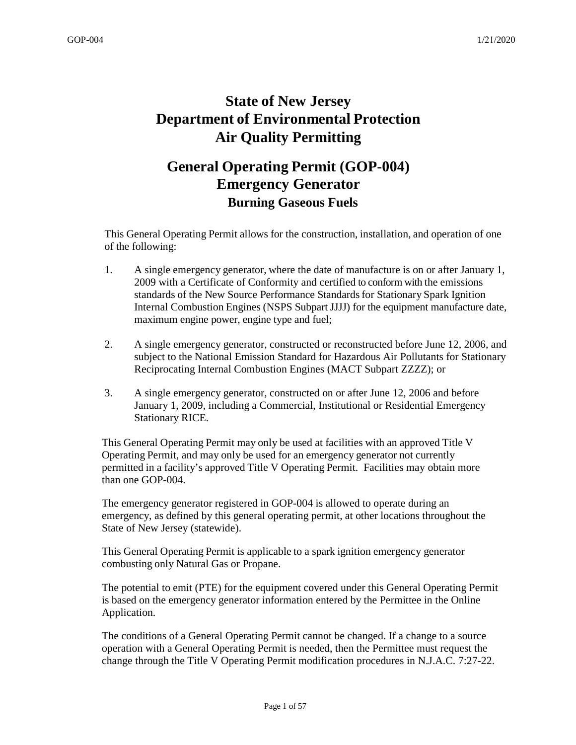# **State of New Jersey Department of Environmental Protection Air Quality Permitting**

## **General Operating Permit (GOP-004) Emergency Generator Burning Gaseous Fuels**

This General Operating Permit allows for the construction, installation, and operation of one of the following:

- 1. A single emergency generator, where the date of manufacture is on or after January 1, 2009 with a Certificate of Conformity and certified to conform with the emissions standards of the New Source Performance Standards for Stationary Spark Ignition Internal Combustion Engines (NSPS Subpart JJJJ) for the equipment manufacture date, maximum engine power, engine type and fuel;
- 2. A single emergency generator, constructed or reconstructed before June 12, 2006, and subject to the National Emission Standard for Hazardous Air Pollutants for Stationary Reciprocating Internal Combustion Engines (MACT Subpart ZZZZ); or
- 3. A single emergency generator, constructed on or after June 12, 2006 and before January 1, 2009, including a Commercial, Institutional or Residential Emergency Stationary RICE.

This General Operating Permit may only be used at facilities with an approved Title V Operating Permit, and may only be used for an emergency generator not currently permitted in a facility's approved Title V Operating Permit. Facilities may obtain more than one GOP-004.

The emergency generator registered in GOP-004 is allowed to operate during an emergency, as defined by this general operating permit, at other locations throughout the State of New Jersey (statewide).

This General Operating Permit is applicable to a spark ignition emergency generator combusting only Natural Gas or Propane.

The potential to emit (PTE) for the equipment covered under this General Operating Permit is based on the emergency generator information entered by the Permittee in the Online Application.

The conditions of a General Operating Permit cannot be changed. If a change to a source operation with a General Operating Permit is needed, then the Permittee must request the change through the Title V Operating Permit modification procedures in N.J.A.C. 7:27-22.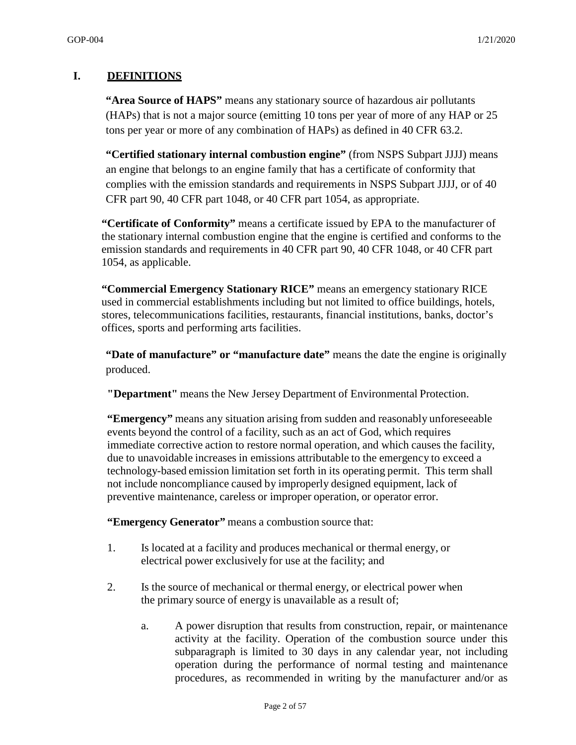#### **I. DEFINITIONS**

**"Area Source of HAPS"** means any stationary source of hazardous air pollutants (HAPs) that is not a major source (emitting 10 tons per year of more of any HAP or 25 tons per year or more of any combination of HAPs) as defined in 40 CFR 63.2.

**"Certified stationary internal combustion engine"** (from NSPS Subpart JJJJ) means an engine that belongs to an engine family that has a certificate of conformity that complies with the emission standards and requirements in NSPS Subpart JJJJ, or of 40 CFR part 90, 40 CFR part 1048, or 40 CFR part 1054, as appropriate.

**"Certificate of Conformity"** means a certificate issued by EPA to the manufacturer of the stationary internal combustion engine that the engine is certified and conforms to the emission standards and requirements in 40 CFR part 90, 40 CFR 1048, or 40 CFR part 1054, as applicable.

**"Commercial Emergency Stationary RICE"** means an emergency stationary RICE used in commercial establishments including but not limited to office buildings, hotels, stores, telecommunications facilities, restaurants, financial institutions, banks, doctor's offices, sports and performing arts facilities.

**"Date of manufacture" or "manufacture date"** means the date the engine is originally produced.

**"Department"** means the New Jersey Department of Environmental Protection.

**"Emergency"** means any situation arising from sudden and reasonably unforeseeable events beyond the control of a facility, such as an act of God, which requires immediate corrective action to restore normal operation, and which causes the facility, due to unavoidable increases in emissions attributable to the emergency to exceed a technology-based emission limitation set forth in its operating permit. This term shall not include noncompliance caused by improperly designed equipment, lack of preventive maintenance, careless or improper operation, or operator error.

**"Emergency Generator"** means a combustion source that:

- 1. Is located at a facility and produces mechanical or thermal energy, or electrical power exclusively for use at the facility; and
- 2. Is the source of mechanical or thermal energy, or electrical power when the primary source of energy is unavailable as a result of;
	- a. A power disruption that results from construction, repair, or maintenance activity at the facility. Operation of the combustion source under this subparagraph is limited to 30 days in any calendar year, not including operation during the performance of normal testing and maintenance procedures, as recommended in writing by the manufacturer and/or as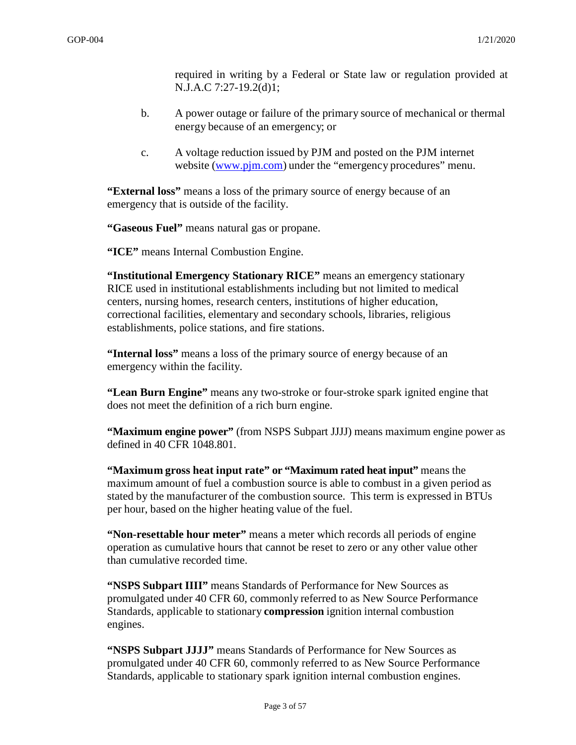required in writing by a Federal or State law or regulation provided at N.J.A.C 7:27-19.2(d)1;

- b. A power outage or failure of the primary source of mechanical or thermal energy because of an emergency; or
- c. A voltage reduction issued by PJM and posted on the PJM internet website (www.pjm.com) under the "emergency procedures" menu.

**"External loss"** means a loss of the primary source of energy because of an emergency that is outside of the facility.

**"Gaseous Fuel"** means natural gas or propane.

**"ICE"** means Internal Combustion Engine.

**"Institutional Emergency Stationary RICE"** means an emergency stationary RICE used in institutional establishments including but not limited to medical centers, nursing homes, research centers, institutions of higher education, correctional facilities, elementary and secondary schools, libraries, religious establishments, police stations, and fire stations.

**"Internal loss"** means a loss of the primary source of energy because of an emergency within the facility.

**"Lean Burn Engine"** means any two-stroke or four-stroke spark ignited engine that does not meet the definition of a rich burn engine.

**"Maximum engine power"** (from NSPS Subpart JJJJ) means maximum engine power as defined in 40 CFR 1048.801.

**"Maximum gross heat input rate" or "Maximum rated heat input"** means the maximum amount of fuel a combustion source is able to combust in a given period as stated by the manufacturer of the combustion source. This term is expressed in BTUs per hour, based on the higher heating value of the fuel.

**"Non-resettable hour meter"** means a meter which records all periods of engine operation as cumulative hours that cannot be reset to zero or any other value other than cumulative recorded time.

**"NSPS Subpart IIII"** means Standards of Performance for New Sources as promulgated under 40 CFR 60, commonly referred to as New Source Performance Standards, applicable to stationary **compression** ignition internal combustion engines.

**"NSPS Subpart JJJJ"** means Standards of Performance for New Sources as promulgated under 40 CFR 60, commonly referred to as New Source Performance Standards, applicable to stationary spark ignition internal combustion engines.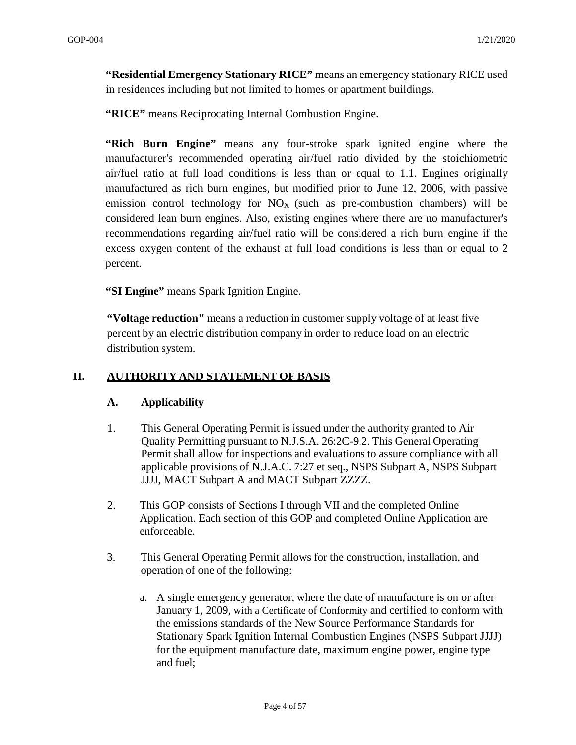**"Residential Emergency Stationary RICE"** means an emergency stationary RICE used in residences including but not limited to homes or apartment buildings.

**"RICE"** means Reciprocating Internal Combustion Engine.

**"Rich Burn Engine"** means any four-stroke spark ignited engine where the manufacturer's recommended operating air/fuel ratio divided by the stoichiometric air/fuel ratio at full load conditions is less than or equal to 1.1. Engines originally manufactured as rich burn engines, but modified prior to June 12, 2006, with passive emission control technology for  $NO<sub>X</sub>$  (such as pre-combustion chambers) will be considered lean burn engines. Also, existing engines where there are no manufacturer's recommendations regarding air/fuel ratio will be considered a rich burn engine if the excess oxygen content of the exhaust at full load conditions is less than or equal to 2 percent.

**"SI Engine"** means Spark Ignition Engine.

**"Voltage reduction"** means a reduction in customer supply voltage of at least five percent by an electric distribution company in order to reduce load on an electric distribution system.

#### **II. AUTHORITY AND STATEMENT OF BASIS**

#### **A. Applicability**

- 1. This General Operating Permit is issued under the authority granted to Air Quality Permitting pursuant to N.J.S.A. 26:2C-9.2. This General Operating Permit shall allow for inspections and evaluations to assure compliance with all applicable provisions of N.J.A.C. 7:27 et seq., NSPS Subpart A, NSPS Subpart JJJJ, MACT Subpart A and MACT Subpart ZZZZ.
- 2. This GOP consists of Sections I through VII and the completed Online Application. Each section of this GOP and completed Online Application are enforceable.
- 3. This General Operating Permit allows for the construction, installation, and operation of one of the following:
	- a. A single emergency generator, where the date of manufacture is on or after January 1, 2009, with a Certificate of Conformity and certified to conform with the emissions standards of the New Source Performance Standards for Stationary Spark Ignition Internal Combustion Engines (NSPS Subpart JJJJ) for the equipment manufacture date, maximum engine power, engine type and fuel;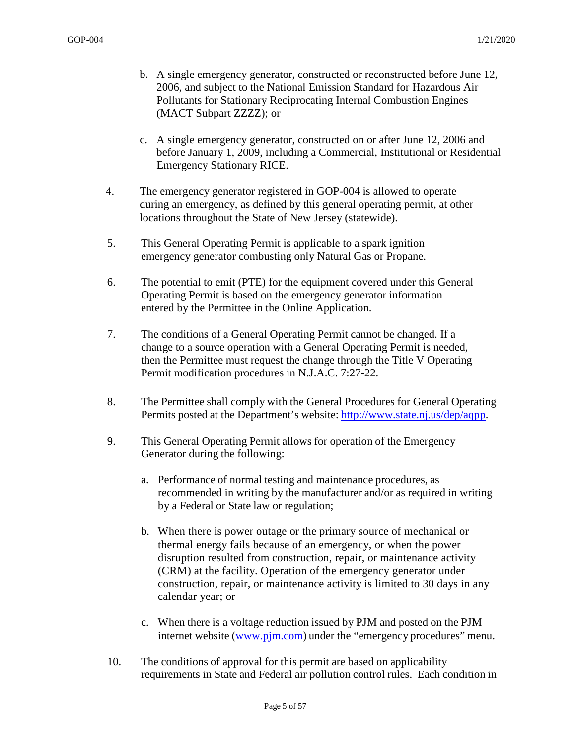- b. A single emergency generator, constructed or reconstructed before June 12, 2006, and subject to the National Emission Standard for Hazardous Air Pollutants for Stationary Reciprocating Internal Combustion Engines (MACT Subpart ZZZZ); or
- c. A single emergency generator, constructed on or after June 12, 2006 and before January 1, 2009, including a Commercial, Institutional or Residential Emergency Stationary RICE.
- 4. The emergency generator registered in GOP-004 is allowed to operate during an emergency, as defined by this general operating permit, at other locations throughout the State of New Jersey (statewide).
- 5. This General Operating Permit is applicable to a spark ignition emergency generator combusting only Natural Gas or Propane.
- 6. The potential to emit (PTE) for the equipment covered under this General Operating Permit is based on the emergency generator information entered by the Permittee in the Online Application.
- 7. The conditions of a General Operating Permit cannot be changed. If a change to a source operation with a General Operating Permit is needed, then the Permittee must request the change through the Title V Operating Permit modification procedures in N.J.A.C. 7:27-22.
- 8. The Permittee shall comply with the General Procedures for General Operating Permits posted at the Department's website: http://www.state.nj.us/dep/aqpp.
- 9. This General Operating Permit allows for operation of the Emergency Generator during the following:
	- a. Performance of normal testing and maintenance procedures, as recommended in writing by the manufacturer and/or as required in writing by a Federal or State law or regulation;
	- b. When there is power outage or the primary source of mechanical or thermal energy fails because of an emergency, or when the power disruption resulted from construction, repair, or maintenance activity (CRM) at the facility. Operation of the emergency generator under construction, repair, or maintenance activity is limited to 30 days in any calendar year; or
	- c. When there is a voltage reduction issued by PJM and posted on the PJM internet website (www.pjm.com) under the "emergency procedures" menu.
- 10. The conditions of approval for this permit are based on applicability requirements in State and Federal air pollution control rules. Each condition in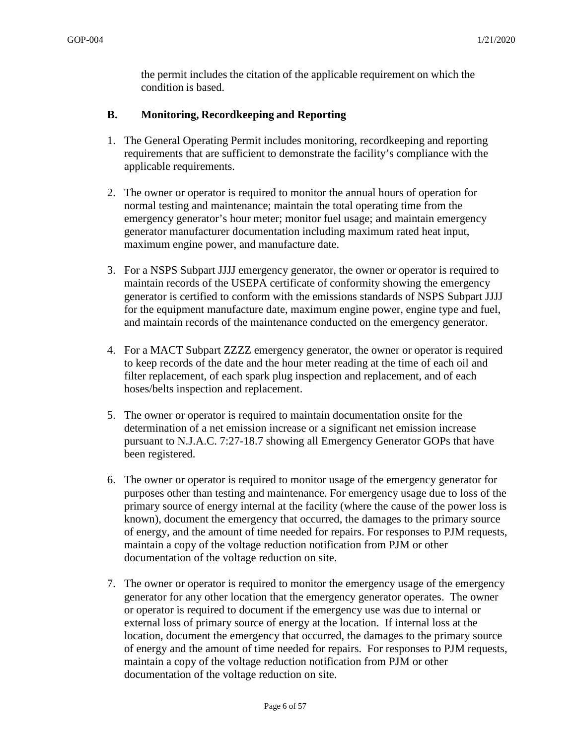the permit includes the citation of the applicable requirement on which the condition is based.

#### **B. Monitoring, Recordkeeping and Reporting**

- 1. The General Operating Permit includes monitoring, recordkeeping and reporting requirements that are sufficient to demonstrate the facility's compliance with the applicable requirements.
- 2. The owner or operator is required to monitor the annual hours of operation for normal testing and maintenance; maintain the total operating time from the emergency generator's hour meter; monitor fuel usage; and maintain emergency generator manufacturer documentation including maximum rated heat input, maximum engine power, and manufacture date.
- 3. For a NSPS Subpart JJJJ emergency generator, the owner or operator is required to maintain records of the USEPA certificate of conformity showing the emergency generator is certified to conform with the emissions standards of NSPS Subpart JJJJ for the equipment manufacture date, maximum engine power, engine type and fuel, and maintain records of the maintenance conducted on the emergency generator.
- 4. For a MACT Subpart ZZZZ emergency generator, the owner or operator is required to keep records of the date and the hour meter reading at the time of each oil and filter replacement, of each spark plug inspection and replacement, and of each hoses/belts inspection and replacement.
- 5. The owner or operator is required to maintain documentation onsite for the determination of a net emission increase or a significant net emission increase pursuant to N.J.A.C. 7:27-18.7 showing all Emergency Generator GOPs that have been registered.
- 6. The owner or operator is required to monitor usage of the emergency generator for purposes other than testing and maintenance. For emergency usage due to loss of the primary source of energy internal at the facility (where the cause of the power loss is known), document the emergency that occurred, the damages to the primary source of energy, and the amount of time needed for repairs. For responses to PJM requests, maintain a copy of the voltage reduction notification from PJM or other documentation of the voltage reduction on site.
- 7. The owner or operator is required to monitor the emergency usage of the emergency generator for any other location that the emergency generator operates. The owner or operator is required to document if the emergency use was due to internal or external loss of primary source of energy at the location. If internal loss at the location, document the emergency that occurred, the damages to the primary source of energy and the amount of time needed for repairs. For responses to PJM requests, maintain a copy of the voltage reduction notification from PJM or other documentation of the voltage reduction on site.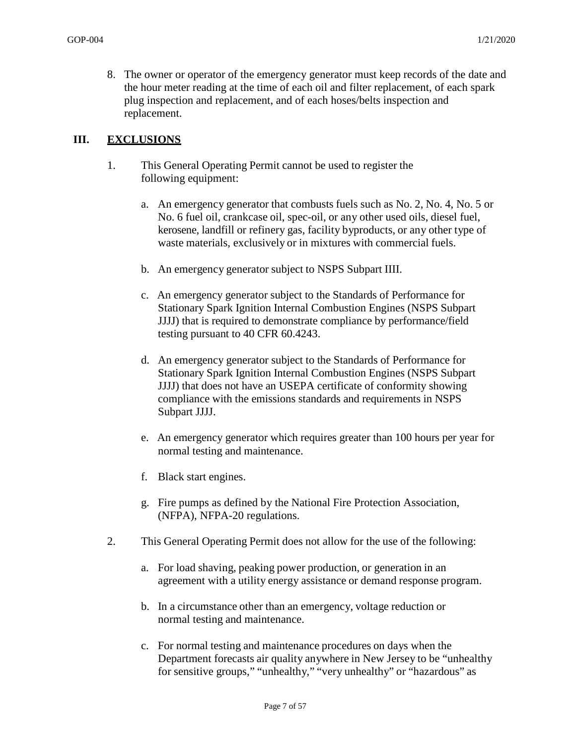8. The owner or operator of the emergency generator must keep records of the date and the hour meter reading at the time of each oil and filter replacement, of each spark plug inspection and replacement, and of each hoses/belts inspection and replacement.

#### **III. EXCLUSIONS**

- 1. This General Operating Permit cannot be used to register the following equipment:
	- a. An emergency generator that combusts fuels such as No. 2, No. 4, No. 5 or No. 6 fuel oil, crankcase oil, spec-oil, or any other used oils, diesel fuel, kerosene, landfill or refinery gas, facility byproducts, or any other type of waste materials, exclusively or in mixtures with commercial fuels.
	- b. An emergency generator subject to NSPS Subpart IIII.
	- c. An emergency generator subject to the Standards of Performance for Stationary Spark Ignition Internal Combustion Engines (NSPS Subpart JJJJ) that is required to demonstrate compliance by performance/field testing pursuant to 40 CFR 60.4243.
	- d. An emergency generator subject to the Standards of Performance for Stationary Spark Ignition Internal Combustion Engines (NSPS Subpart JJJJ) that does not have an USEPA certificate of conformity showing compliance with the emissions standards and requirements in NSPS Subpart JJJJ.
	- e. An emergency generator which requires greater than 100 hours per year for normal testing and maintenance.
	- f. Black start engines.
	- g. Fire pumps as defined by the National Fire Protection Association, (NFPA), NFPA-20 regulations.
- 2. This General Operating Permit does not allow for the use of the following:
	- a. For load shaving, peaking power production, or generation in an agreement with a utility energy assistance or demand response program.
	- b. In a circumstance other than an emergency, voltage reduction or normal testing and maintenance.
	- c. For normal testing and maintenance procedures on days when the Department forecasts air quality anywhere in New Jersey to be "unhealthy for sensitive groups," "unhealthy," "very unhealthy" or "hazardous" as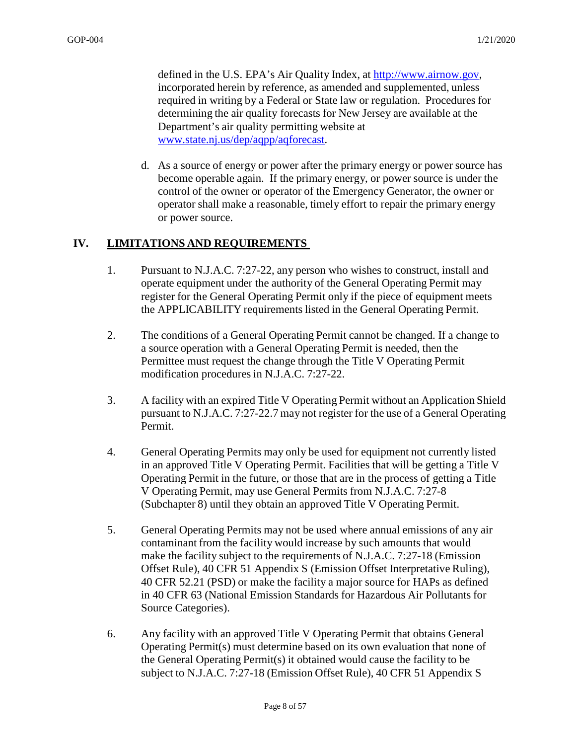defined in the U.S. EPA's Air Quality Index, at http://www.airnow.gov, incorporated herein by reference, as amended and supplemented, unless required in writing by a Federal or State law or regulation. Procedures for determining the air quality forecasts for New Jersey are available at the Department's air quality permitting website at www.state.nj.us/dep/aqpp/aqforecast.

d. As a source of energy or power after the primary energy or power source has become operable again. If the primary energy, or power source is under the control of the owner or operator of the Emergency Generator, the owner or operator shall make a reasonable, timely effort to repair the primary energy or power source.

#### **IV. LIMITATIONS AND REQUIREMENTS**

- 1. Pursuant to N.J.A.C. 7:27-22, any person who wishes to construct, install and operate equipment under the authority of the General Operating Permit may register for the General Operating Permit only if the piece of equipment meets the APPLICABILITY requirements listed in the General Operating Permit.
- 2. The conditions of a General Operating Permit cannot be changed. If a change to a source operation with a General Operating Permit is needed, then the Permittee must request the change through the Title V Operating Permit modification procedures in N.J.A.C. 7:27-22.
- 3. A facility with an expired Title V Operating Permit without an Application Shield pursuant to N.J.A.C. 7:27-22.7 may not register for the use of a General Operating Permit.
- 4. General Operating Permits may only be used for equipment not currently listed in an approved Title V Operating Permit. Facilities that will be getting a Title V Operating Permit in the future, or those that are in the process of getting a Title V Operating Permit, may use General Permits from N.J.A.C. 7:27-8 (Subchapter 8) until they obtain an approved Title V Operating Permit.
- 5. General Operating Permits may not be used where annual emissions of any air contaminant from the facility would increase by such amounts that would make the facility subject to the requirements of N.J.A.C. 7:27-18 (Emission Offset Rule), 40 CFR 51 Appendix S (Emission Offset Interpretative Ruling), 40 CFR 52.21 (PSD) or make the facility a major source for HAPs as defined in 40 CFR 63 (National Emission Standards for Hazardous Air Pollutants for Source Categories).
- 6. Any facility with an approved Title V Operating Permit that obtains General Operating Permit(s) must determine based on its own evaluation that none of the General Operating Permit(s) it obtained would cause the facility to be subject to N.J.A.C. 7:27-18 (Emission Offset Rule), 40 CFR 51 Appendix S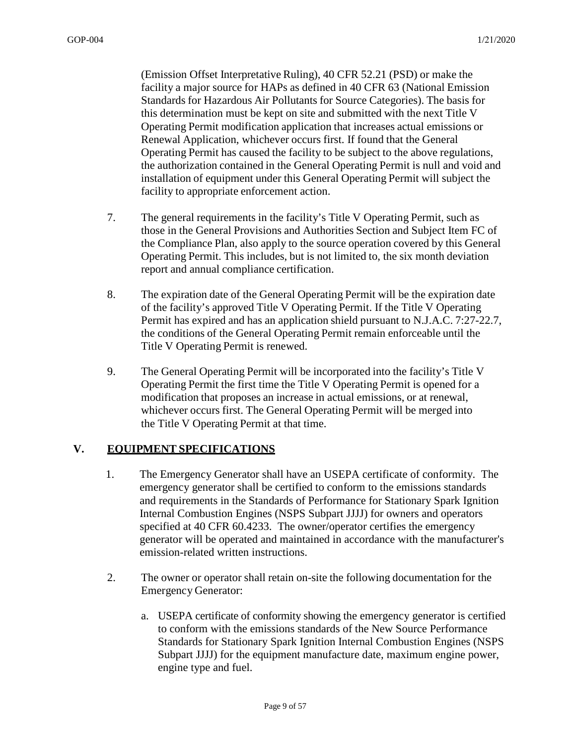(Emission Offset Interpretative Ruling), 40 CFR 52.21 (PSD) or make the facility a major source for HAPs as defined in 40 CFR 63 (National Emission Standards for Hazardous Air Pollutants for Source Categories). The basis for this determination must be kept on site and submitted with the next Title V Operating Permit modification application that increases actual emissions or Renewal Application, whichever occurs first. If found that the General Operating Permit has caused the facility to be subject to the above regulations, the authorization contained in the General Operating Permit is null and void and installation of equipment under this General Operating Permit will subject the facility to appropriate enforcement action.

- 7. The general requirements in the facility's Title V Operating Permit, such as those in the General Provisions and Authorities Section and Subject Item FC of the Compliance Plan, also apply to the source operation covered by this General Operating Permit. This includes, but is not limited to, the six month deviation report and annual compliance certification.
- 8. The expiration date of the General Operating Permit will be the expiration date of the facility's approved Title V Operating Permit. If the Title V Operating Permit has expired and has an application shield pursuant to N.J.A.C. 7:27-22.7, the conditions of the General Operating Permit remain enforceable until the Title V Operating Permit is renewed.
- 9. The General Operating Permit will be incorporated into the facility's Title V Operating Permit the first time the Title V Operating Permit is opened for a modification that proposes an increase in actual emissions, or at renewal, whichever occurs first. The General Operating Permit will be merged into the Title V Operating Permit at that time.

#### **V. EQUIPMENT SPECIFICATIONS**

- 1. The Emergency Generator shall have an USEPA certificate of conformity. The emergency generator shall be certified to conform to the emissions standards and requirements in the Standards of Performance for Stationary Spark Ignition Internal Combustion Engines (NSPS Subpart JJJJ) for owners and operators specified at 40 CFR 60.4233. The owner/operator certifies the emergency generator will be operated and maintained in accordance with the manufacturer's emission-related written instructions.
- 2. The owner or operator shall retain on-site the following documentation for the Emergency Generator:
	- a. USEPA certificate of conformity showing the emergency generator is certified to conform with the emissions standards of the New Source Performance Standards for Stationary Spark Ignition Internal Combustion Engines (NSPS Subpart JJJJ) for the equipment manufacture date, maximum engine power, engine type and fuel.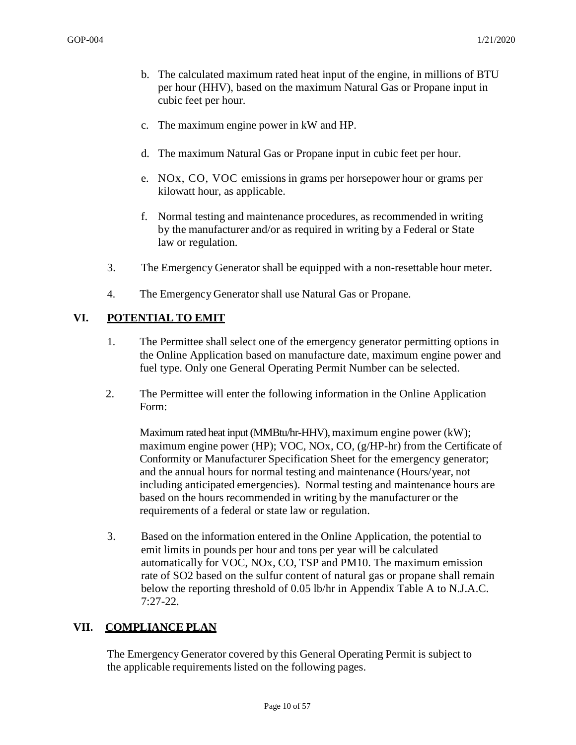- b. The calculated maximum rated heat input of the engine, in millions of BTU per hour (HHV), based on the maximum Natural Gas or Propane input in cubic feet per hour.
- c. The maximum engine power in kW and HP.
- d. The maximum Natural Gas or Propane input in cubic feet per hour.
- e. NOx, CO, VOC emissions in grams per horsepower hour or grams per kilowatt hour, as applicable.
- f. Normal testing and maintenance procedures, as recommended in writing by the manufacturer and/or as required in writing by a Federal or State law or regulation.
- 3. The Emergency Generator shall be equipped with a non-resettable hour meter.
- 4. The Emergency Generator shall use Natural Gas or Propane.

#### **VI. POTENTIAL TO EMIT**

- 1. The Permittee shall select one of the emergency generator permitting options in the Online Application based on manufacture date, maximum engine power and fuel type. Only one General Operating Permit Number can be selected.
- 2. The Permittee will enter the following information in the Online Application Form:

Maximum rated heat input (MMBtu/hr-HHV), maximum engine power (kW); maximum engine power (HP); VOC, NOx, CO, (g/HP-hr) from the Certificate of Conformity or Manufacturer Specification Sheet for the emergency generator; and the annual hours for normal testing and maintenance (Hours/year, not including anticipated emergencies). Normal testing and maintenance hours are based on the hours recommended in writing by the manufacturer or the requirements of a federal or state law or regulation.

3. Based on the information entered in the Online Application, the potential to emit limits in pounds per hour and tons per year will be calculated automatically for VOC, NOx, CO, TSP and PM10. The maximum emission rate of SO2 based on the sulfur content of natural gas or propane shall remain below the reporting threshold of 0.05 lb/hr in Appendix Table A to N.J.A.C. 7:27-22.

#### **VII. COMPLIANCE PLAN**

The Emergency Generator covered by this General Operating Permit is subject to the applicable requirements listed on the following pages.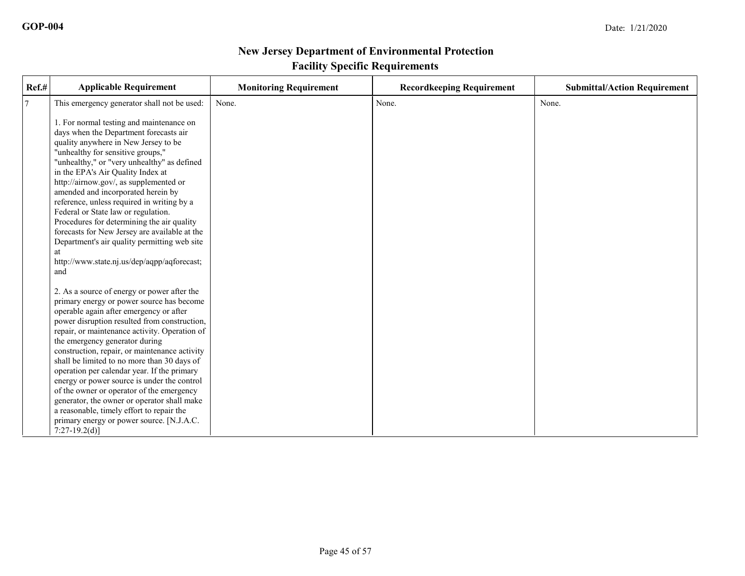| Ref.# | <b>Applicable Requirement</b>                                                                                                                                                                                                                                                                                                                                                                                                                                                                                                                                                                                                                                                | <b>Monitoring Requirement</b> | <b>Recordkeeping Requirement</b> | <b>Submittal/Action Requirement</b> |
|-------|------------------------------------------------------------------------------------------------------------------------------------------------------------------------------------------------------------------------------------------------------------------------------------------------------------------------------------------------------------------------------------------------------------------------------------------------------------------------------------------------------------------------------------------------------------------------------------------------------------------------------------------------------------------------------|-------------------------------|----------------------------------|-------------------------------------|
| 7     | This emergency generator shall not be used:                                                                                                                                                                                                                                                                                                                                                                                                                                                                                                                                                                                                                                  | None.                         | None.                            | None.                               |
|       | 1. For normal testing and maintenance on<br>days when the Department forecasts air<br>quality anywhere in New Jersey to be<br>"unhealthy for sensitive groups,"<br>"unhealthy," or "very unhealthy" as defined<br>in the EPA's Air Quality Index at<br>http://airnow.gov/, as supplemented or<br>amended and incorporated herein by<br>reference, unless required in writing by a<br>Federal or State law or regulation.<br>Procedures for determining the air quality<br>forecasts for New Jersey are available at the<br>Department's air quality permitting web site<br>at<br>http://www.state.nj.us/dep/aqpp/aqforecast;<br>and                                          |                               |                                  |                                     |
|       | 2. As a source of energy or power after the<br>primary energy or power source has become<br>operable again after emergency or after<br>power disruption resulted from construction,<br>repair, or maintenance activity. Operation of<br>the emergency generator during<br>construction, repair, or maintenance activity<br>shall be limited to no more than 30 days of<br>operation per calendar year. If the primary<br>energy or power source is under the control<br>of the owner or operator of the emergency<br>generator, the owner or operator shall make<br>a reasonable, timely effort to repair the<br>primary energy or power source. [N.J.A.C.<br>$7:27-19.2(d)$ |                               |                                  |                                     |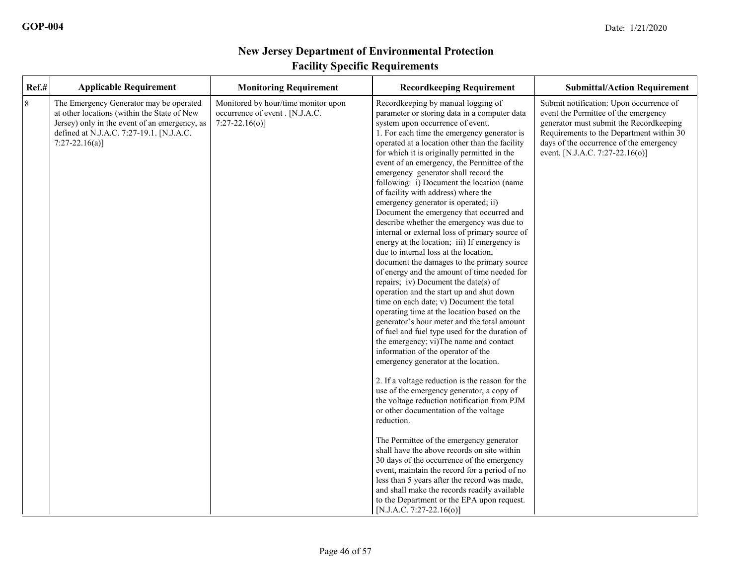| Ref.#   | <b>Applicable Requirement</b>                                                                                                                                                                            | <b>Monitoring Requirement</b>                                                               | <b>Recordkeeping Requirement</b>                                                                                                                                                                                                                                                                                                                                                                                                                                                                                                                                                                                                                                                                                                                                                                                                                                                                                                                                                                                                                                                                                                                                                                                                                                                                                                                                                                                                                                                                                                                                                                                                                                                                                                                                                                               | <b>Submittal/Action Requirement</b>                                                                                                                                                                                                                  |
|---------|----------------------------------------------------------------------------------------------------------------------------------------------------------------------------------------------------------|---------------------------------------------------------------------------------------------|----------------------------------------------------------------------------------------------------------------------------------------------------------------------------------------------------------------------------------------------------------------------------------------------------------------------------------------------------------------------------------------------------------------------------------------------------------------------------------------------------------------------------------------------------------------------------------------------------------------------------------------------------------------------------------------------------------------------------------------------------------------------------------------------------------------------------------------------------------------------------------------------------------------------------------------------------------------------------------------------------------------------------------------------------------------------------------------------------------------------------------------------------------------------------------------------------------------------------------------------------------------------------------------------------------------------------------------------------------------------------------------------------------------------------------------------------------------------------------------------------------------------------------------------------------------------------------------------------------------------------------------------------------------------------------------------------------------------------------------------------------------------------------------------------------------|------------------------------------------------------------------------------------------------------------------------------------------------------------------------------------------------------------------------------------------------------|
| $\,8\,$ | The Emergency Generator may be operated<br>at other locations (within the State of New<br>Jersey) only in the event of an emergency, as<br>defined at N.J.A.C. 7:27-19.1. [N.J.A.C.<br>$7:27-22.16(a)$ ] | Monitored by hour/time monitor upon<br>occurrence of event . [N.J.A.C.<br>$7:27-22.16(o)$ ] | Recordkeeping by manual logging of<br>parameter or storing data in a computer data<br>system upon occurrence of event.<br>1. For each time the emergency generator is<br>operated at a location other than the facility<br>for which it is originally permitted in the<br>event of an emergency, the Permittee of the<br>emergency generator shall record the<br>following: i) Document the location (name<br>of facility with address) where the<br>emergency generator is operated; ii)<br>Document the emergency that occurred and<br>describe whether the emergency was due to<br>internal or external loss of primary source of<br>energy at the location; iii) If emergency is<br>due to internal loss at the location,<br>document the damages to the primary source<br>of energy and the amount of time needed for<br>repairs; iv) Document the date(s) of<br>operation and the start up and shut down<br>time on each date; v) Document the total<br>operating time at the location based on the<br>generator's hour meter and the total amount<br>of fuel and fuel type used for the duration of<br>the emergency; vi)The name and contact<br>information of the operator of the<br>emergency generator at the location.<br>2. If a voltage reduction is the reason for the<br>use of the emergency generator, a copy of<br>the voltage reduction notification from PJM<br>or other documentation of the voltage<br>reduction.<br>The Permittee of the emergency generator<br>shall have the above records on site within<br>30 days of the occurrence of the emergency<br>event, maintain the record for a period of no<br>less than 5 years after the record was made,<br>and shall make the records readily available<br>to the Department or the EPA upon request.<br>$[N.J.A.C. 7:27-22.16(o)]$ | Submit notification: Upon occurrence of<br>event the Permittee of the emergency<br>generator must submit the Recordkeeping<br>Requirements to the Department within 30<br>days of the occurrence of the emergency<br>event. [N.J.A.C. 7:27-22.16(o)] |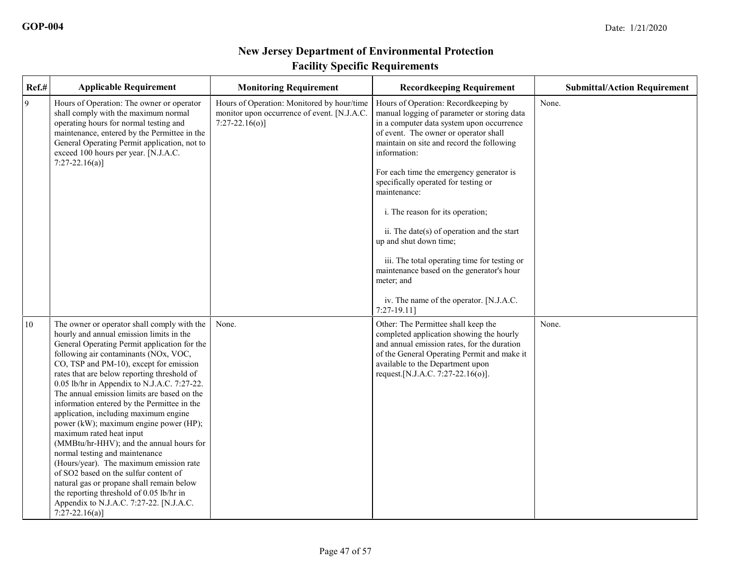| Ref.# | <b>Applicable Requirement</b>                                                                                                                                                                                                                                                                                                                                                                                                                                                                                                                                                                                                                                                                                                                                                                                                                                     | <b>Monitoring Requirement</b>                                                                                  | <b>Recordkeeping Requirement</b>                                                                                                                                                                                                                                                                                                                                                                                                                                                                                                                                                                                                | <b>Submittal/Action Requirement</b> |
|-------|-------------------------------------------------------------------------------------------------------------------------------------------------------------------------------------------------------------------------------------------------------------------------------------------------------------------------------------------------------------------------------------------------------------------------------------------------------------------------------------------------------------------------------------------------------------------------------------------------------------------------------------------------------------------------------------------------------------------------------------------------------------------------------------------------------------------------------------------------------------------|----------------------------------------------------------------------------------------------------------------|---------------------------------------------------------------------------------------------------------------------------------------------------------------------------------------------------------------------------------------------------------------------------------------------------------------------------------------------------------------------------------------------------------------------------------------------------------------------------------------------------------------------------------------------------------------------------------------------------------------------------------|-------------------------------------|
| 9     | Hours of Operation: The owner or operator<br>shall comply with the maximum normal<br>operating hours for normal testing and<br>maintenance, entered by the Permittee in the<br>General Operating Permit application, not to<br>exceed 100 hours per year. [N.J.A.C.<br>$7:27-22.16(a)$ ]                                                                                                                                                                                                                                                                                                                                                                                                                                                                                                                                                                          | Hours of Operation: Monitored by hour/time<br>monitor upon occurrence of event. [N.J.A.C.<br>$7:27-22.16(o)$ ] | Hours of Operation: Recordkeeping by<br>manual logging of parameter or storing data<br>in a computer data system upon occurrence<br>of event. The owner or operator shall<br>maintain on site and record the following<br>information:<br>For each time the emergency generator is<br>specifically operated for testing or<br>maintenance:<br>i. The reason for its operation;<br>ii. The date(s) of operation and the start<br>up and shut down time;<br>iii. The total operating time for testing or<br>maintenance based on the generator's hour<br>meter; and<br>iv. The name of the operator. [N.J.A.C.]<br>$7:27-19.11$ ] | None.                               |
| 10    | The owner or operator shall comply with the<br>hourly and annual emission limits in the<br>General Operating Permit application for the<br>following air contaminants (NOx, VOC,<br>CO, TSP and PM-10), except for emission<br>rates that are below reporting threshold of<br>0.05 lb/hr in Appendix to N.J.A.C. 7:27-22.<br>The annual emission limits are based on the<br>information entered by the Permittee in the<br>application, including maximum engine<br>power (kW); maximum engine power (HP);<br>maximum rated heat input<br>(MMBtu/hr-HHV); and the annual hours for<br>normal testing and maintenance<br>(Hours/year). The maximum emission rate<br>of SO2 based on the sulfur content of<br>natural gas or propane shall remain below<br>the reporting threshold of 0.05 lb/hr in<br>Appendix to N.J.A.C. 7:27-22. [N.J.A.C.<br>$7:27-22.16(a)$ ] | None.                                                                                                          | Other: The Permittee shall keep the<br>completed application showing the hourly<br>and annual emission rates, for the duration<br>of the General Operating Permit and make it<br>available to the Department upon<br>request. [N.J.A.C. 7:27-22.16(o)].                                                                                                                                                                                                                                                                                                                                                                         | None.                               |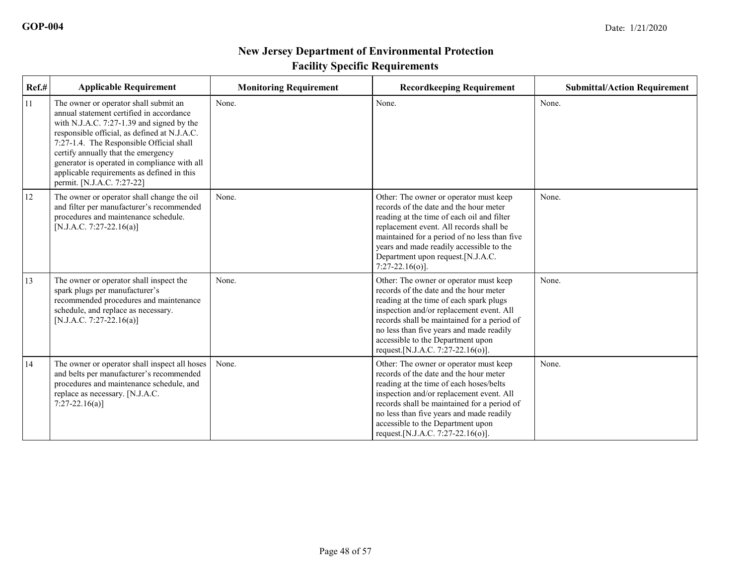| Ref.# | <b>Applicable Requirement</b>                                                                                                                                                                                                                                                                                                                                                                 | <b>Monitoring Requirement</b> | <b>Recordkeeping Requirement</b>                                                                                                                                                                                                                                                                                                              | <b>Submittal/Action Requirement</b> |
|-------|-----------------------------------------------------------------------------------------------------------------------------------------------------------------------------------------------------------------------------------------------------------------------------------------------------------------------------------------------------------------------------------------------|-------------------------------|-----------------------------------------------------------------------------------------------------------------------------------------------------------------------------------------------------------------------------------------------------------------------------------------------------------------------------------------------|-------------------------------------|
| 11    | The owner or operator shall submit an<br>annual statement certified in accordance<br>with N.J.A.C. 7:27-1.39 and signed by the<br>responsible official, as defined at N.J.A.C.<br>7:27-1.4. The Responsible Official shall<br>certify annually that the emergency<br>generator is operated in compliance with all<br>applicable requirements as defined in this<br>permit. [N.J.A.C. 7:27-22] | None.                         | None.                                                                                                                                                                                                                                                                                                                                         | None.                               |
| 12    | The owner or operator shall change the oil<br>and filter per manufacturer's recommended<br>procedures and maintenance schedule.<br>[N.J.A.C. 7:27-22.16(a)]                                                                                                                                                                                                                                   | None.                         | Other: The owner or operator must keep<br>records of the date and the hour meter<br>reading at the time of each oil and filter<br>replacement event. All records shall be<br>maintained for a period of no less than five<br>years and made readily accessible to the<br>Department upon request.[N.J.A.C.<br>$7:27-22.16(o)$ ].              | None.                               |
| 13    | The owner or operator shall inspect the<br>spark plugs per manufacturer's<br>recommended procedures and maintenance<br>schedule, and replace as necessary.<br>[N.J.A.C. 7:27-22.16(a)]                                                                                                                                                                                                        | None.                         | Other: The owner or operator must keep<br>records of the date and the hour meter<br>reading at the time of each spark plugs<br>inspection and/or replacement event. All<br>records shall be maintained for a period of<br>no less than five years and made readily<br>accessible to the Department upon<br>request. [N.J.A.C. 7:27-22.16(o)]. | None.                               |
| 14    | The owner or operator shall inspect all hoses<br>and belts per manufacturer's recommended<br>procedures and maintenance schedule, and<br>replace as necessary. [N.J.A.C.<br>$7:27-22.16(a)$                                                                                                                                                                                                   | None.                         | Other: The owner or operator must keep<br>records of the date and the hour meter<br>reading at the time of each hoses/belts<br>inspection and/or replacement event. All<br>records shall be maintained for a period of<br>no less than five years and made readily<br>accessible to the Department upon<br>request. [N.J.A.C. 7:27-22.16(o)]. | None.                               |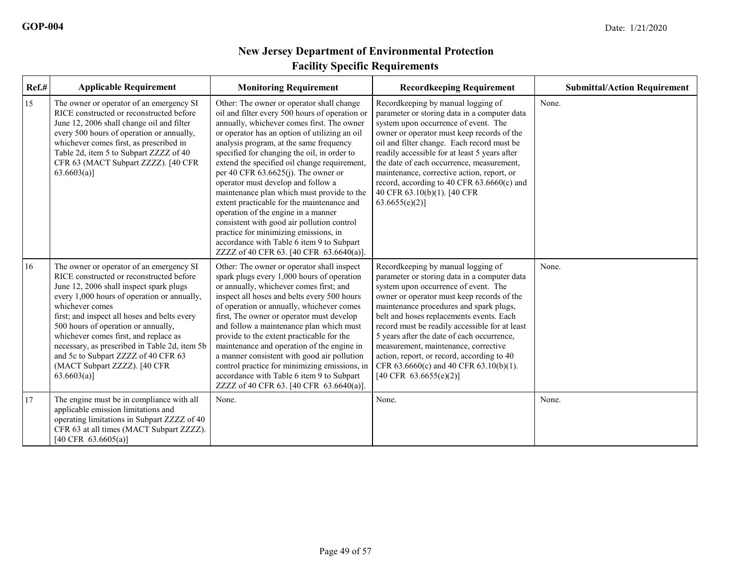| $Ref.$ # | <b>Applicable Requirement</b>                                                                                                                                                                                                                                                                                                                                                                                                                                               | <b>Monitoring Requirement</b>                                                                                                                                                                                                                                                                                                                                                                                                                                                                                                                                                                                                                                                                                                          | <b>Recordkeeping Requirement</b>                                                                                                                                                                                                                                                                                                                                                                                                                                                                                             | <b>Submittal/Action Requirement</b> |
|----------|-----------------------------------------------------------------------------------------------------------------------------------------------------------------------------------------------------------------------------------------------------------------------------------------------------------------------------------------------------------------------------------------------------------------------------------------------------------------------------|----------------------------------------------------------------------------------------------------------------------------------------------------------------------------------------------------------------------------------------------------------------------------------------------------------------------------------------------------------------------------------------------------------------------------------------------------------------------------------------------------------------------------------------------------------------------------------------------------------------------------------------------------------------------------------------------------------------------------------------|------------------------------------------------------------------------------------------------------------------------------------------------------------------------------------------------------------------------------------------------------------------------------------------------------------------------------------------------------------------------------------------------------------------------------------------------------------------------------------------------------------------------------|-------------------------------------|
| 15       | The owner or operator of an emergency SI<br>RICE constructed or reconstructed before<br>June 12, 2006 shall change oil and filter<br>every 500 hours of operation or annually,<br>whichever comes first, as prescribed in<br>Table 2d, item 5 to Subpart ZZZZ of 40<br>CFR 63 (MACT Subpart ZZZZ). [40 CFR<br>$63.6603(a)$ ]                                                                                                                                                | Other: The owner or operator shall change<br>oil and filter every 500 hours of operation or<br>annually, whichever comes first. The owner<br>or operator has an option of utilizing an oil<br>analysis program, at the same frequency<br>specified for changing the oil, in order to<br>extend the specified oil change requirement,<br>per 40 CFR $63.6625(i)$ . The owner or<br>operator must develop and follow a<br>maintenance plan which must provide to the<br>extent practicable for the maintenance and<br>operation of the engine in a manner<br>consistent with good air pollution control<br>practice for minimizing emissions, in<br>accordance with Table 6 item 9 to Subpart<br>ZZZZ of 40 CFR 63. [40 CFR 63.6640(a)]. | Recordkeeping by manual logging of<br>parameter or storing data in a computer data<br>system upon occurrence of event. The<br>owner or operator must keep records of the<br>oil and filter change. Each record must be<br>readily accessible for at least 5 years after<br>the date of each occurrence, measurement,<br>maintenance, corrective action, report, or<br>record, according to 40 CFR 63.6660(c) and<br>40 CFR 63.10(b)(1). [40 CFR<br>63.6655(e)(2)                                                             | None.                               |
| 16       | The owner or operator of an emergency SI<br>RICE constructed or reconstructed before<br>June 12, 2006 shall inspect spark plugs<br>every 1,000 hours of operation or annually,<br>whichever comes<br>first; and inspect all hoses and belts every<br>500 hours of operation or annually,<br>whichever comes first, and replace as<br>necessary, as prescribed in Table 2d, item 5b<br>and 5c to Subpart ZZZZ of 40 CFR 63<br>(MACT Subpart ZZZZ). [40 CFR<br>$63.6603(a)$ ] | Other: The owner or operator shall inspect<br>spark plugs every 1,000 hours of operation<br>or annually, whichever comes first; and<br>inspect all hoses and belts every 500 hours<br>of operation or annually, whichever comes<br>first, The owner or operator must develop<br>and follow a maintenance plan which must<br>provide to the extent practicable for the<br>maintenance and operation of the engine in<br>a manner consistent with good air pollution<br>control practice for minimizing emissions, in<br>accordance with Table 6 item 9 to Subpart<br>ZZZZ of 40 CFR 63. [40 CFR 63.6640(a)].                                                                                                                            | Recordkeeping by manual logging of<br>parameter or storing data in a computer data<br>system upon occurrence of event. The<br>owner or operator must keep records of the<br>maintenance procedures and spark plugs,<br>belt and hoses replacements events. Each<br>record must be readily accessible for at least<br>5 years after the date of each occurrence,<br>measurement, maintenance, corrective<br>action, report, or record, according to 40<br>CFR 63.6660(c) and 40 CFR 63.10(b)(1).<br>[40 CFR $63.6655(e)(2)$ ] | None.                               |
| 17       | The engine must be in compliance with all<br>applicable emission limitations and<br>operating limitations in Subpart ZZZZ of 40<br>CFR 63 at all times (MACT Subpart ZZZZ).<br>[40 CFR $63.6605(a)$ ]                                                                                                                                                                                                                                                                       | None.                                                                                                                                                                                                                                                                                                                                                                                                                                                                                                                                                                                                                                                                                                                                  | None.                                                                                                                                                                                                                                                                                                                                                                                                                                                                                                                        | None.                               |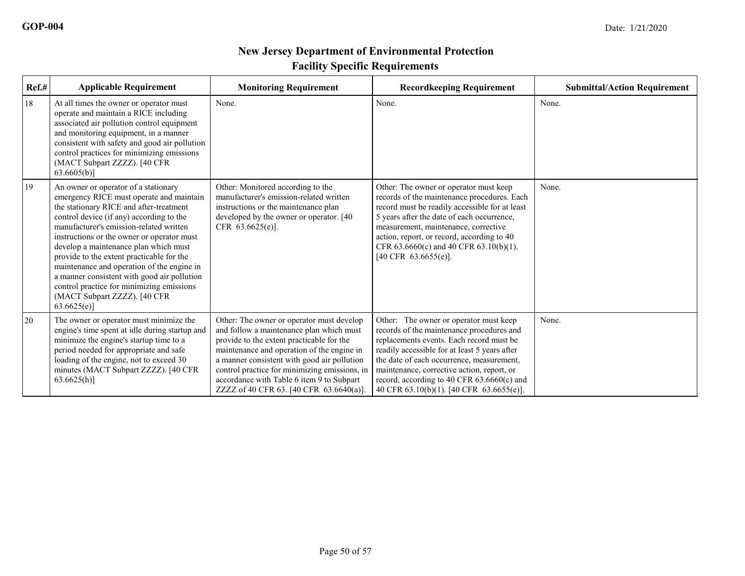| Ref.# | <b>Applicable Requirement</b>                                                                                                                                                                                                                                                                                                                                                                                                                                                                                                                  | <b>Monitoring Requirement</b>                                                                                                                                                                                                                                                                                                                                            | <b>Recordkeeping Requirement</b>                                                                                                                                                                                                                                                                                                                                        | <b>Submittal/Action Requirement</b> |
|-------|------------------------------------------------------------------------------------------------------------------------------------------------------------------------------------------------------------------------------------------------------------------------------------------------------------------------------------------------------------------------------------------------------------------------------------------------------------------------------------------------------------------------------------------------|--------------------------------------------------------------------------------------------------------------------------------------------------------------------------------------------------------------------------------------------------------------------------------------------------------------------------------------------------------------------------|-------------------------------------------------------------------------------------------------------------------------------------------------------------------------------------------------------------------------------------------------------------------------------------------------------------------------------------------------------------------------|-------------------------------------|
| 18    | At all times the owner or operator must<br>operate and maintain a RICE including<br>associated air pollution control equipment<br>and monitoring equipment, in a manner<br>consistent with safety and good air pollution<br>control practices for minimizing emissions<br>(MACT Subpart ZZZZ). [40 CFR<br>63.6605(b)                                                                                                                                                                                                                           | None.                                                                                                                                                                                                                                                                                                                                                                    | None.                                                                                                                                                                                                                                                                                                                                                                   | None.                               |
| 19    | An owner or operator of a stationary<br>emergency RICE must operate and maintain<br>the stationary RICE and after-treatment<br>control device (if any) according to the<br>manufacturer's emission-related written<br>instructions or the owner or operator must<br>develop a maintenance plan which must<br>provide to the extent practicable for the<br>maintenance and operation of the engine in<br>a manner consistent with good air pollution<br>control practice for minimizing emissions<br>(MACT Subpart ZZZZ). [40 CFR<br>63.6625(e) | Other: Monitored according to the<br>manufacturer's emission-related written<br>instructions or the maintenance plan<br>developed by the owner or operator. [40]<br>CFR $63.6625(e)$ ].                                                                                                                                                                                  | Other: The owner or operator must keep<br>records of the maintenance procedures. Each<br>record must be readily accessible for at least<br>5 years after the date of each occurrence,<br>measurement, maintenance, corrective<br>action, report, or record, according to 40<br>CFR 63.6660(c) and 40 CFR 63.10(b)(1).<br>$[40 \text{ CFR } 63.6655(e)].$                | None.                               |
| 20    | The owner or operator must minimize the<br>engine's time spent at idle during startup and<br>minimize the engine's startup time to a<br>period needed for appropriate and safe<br>loading of the engine, not to exceed 30<br>minutes (MACT Subpart ZZZZ). [40 CFR<br>63.6625(h)                                                                                                                                                                                                                                                                | Other: The owner or operator must develop<br>and follow a maintenance plan which must<br>provide to the extent practicable for the<br>maintenance and operation of the engine in<br>a manner consistent with good air pollution<br>control practice for minimizing emissions, in<br>accordance with Table 6 item 9 to Subpart<br>ZZZZ of 40 CFR 63. [40 CFR 63.6640(a)]. | Other: The owner or operator must keep<br>records of the maintenance procedures and<br>replacements events. Each record must be<br>readily accessible for at least 5 years after<br>the date of each occurrence, measurement,<br>maintenance, corrective action, report, or<br>record, according to 40 CFR $63.6660(c)$ and<br>40 CFR 63.10(b)(1). [40 CFR 63.6655(e)]. | None.                               |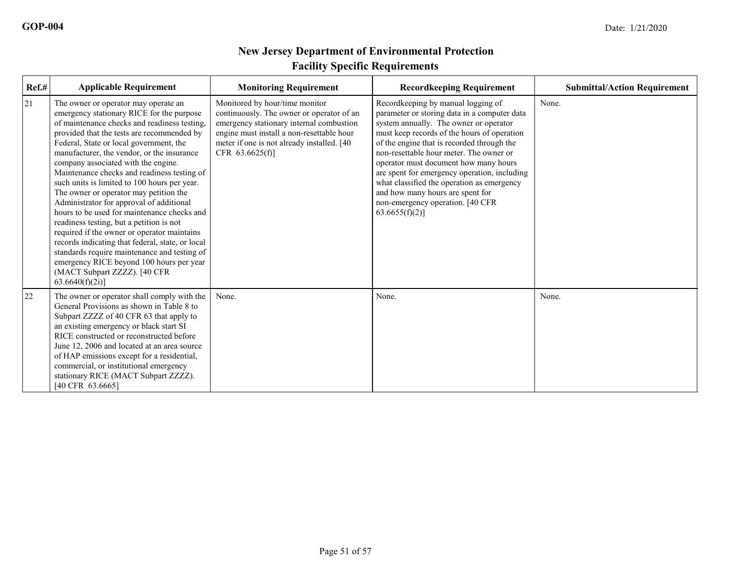| Ref.# | <b>Applicable Requirement</b>                                                                                                                                                                                                                                                                                                                                                                                                                                                                                                                                                                                                                                                                                                                                                                                                                    | <b>Monitoring Requirement</b>                                                                                                                                                                                                             | <b>Recordkeeping Requirement</b>                                                                                                                                                                                                                                                                                                                                                                                                                                                                     | <b>Submittal/Action Requirement</b> |
|-------|--------------------------------------------------------------------------------------------------------------------------------------------------------------------------------------------------------------------------------------------------------------------------------------------------------------------------------------------------------------------------------------------------------------------------------------------------------------------------------------------------------------------------------------------------------------------------------------------------------------------------------------------------------------------------------------------------------------------------------------------------------------------------------------------------------------------------------------------------|-------------------------------------------------------------------------------------------------------------------------------------------------------------------------------------------------------------------------------------------|------------------------------------------------------------------------------------------------------------------------------------------------------------------------------------------------------------------------------------------------------------------------------------------------------------------------------------------------------------------------------------------------------------------------------------------------------------------------------------------------------|-------------------------------------|
| 21    | The owner or operator may operate an<br>emergency stationary RICE for the purpose<br>of maintenance checks and readiness testing,<br>provided that the tests are recommended by<br>Federal, State or local government, the<br>manufacturer, the vendor, or the insurance<br>company associated with the engine.<br>Maintenance checks and readiness testing of<br>such units is limited to 100 hours per year.<br>The owner or operator may petition the<br>Administrator for approval of additional<br>hours to be used for maintenance checks and<br>readiness testing, but a petition is not<br>required if the owner or operator maintains<br>records indicating that federal, state, or local<br>standards require maintenance and testing of<br>emergency RICE beyond 100 hours per year<br>(MACT Subpart ZZZZ). [40 CFR<br>63.6640(f)(2i) | Monitored by hour/time monitor<br>continuously. The owner or operator of an<br>emergency stationary internal combustion<br>engine must install a non-resettable hour<br>meter if one is not already installed. [40]<br>CFR $63.6625(f)$ ] | Recordkeeping by manual logging of<br>parameter or storing data in a computer data<br>system annually. The owner or operator<br>must keep records of the hours of operation<br>of the engine that is recorded through the<br>non-resettable hour meter. The owner or<br>operator must document how many hours<br>are spent for emergency operation, including<br>what classified the operation as emergency<br>and how many hours are spent for<br>non-emergency operation. [40 CFR<br>63.6655(f)(2) | None.                               |
| 22    | The owner or operator shall comply with the<br>General Provisions as shown in Table 8 to<br>Subpart ZZZZ of 40 CFR 63 that apply to<br>an existing emergency or black start SI<br>RICE constructed or reconstructed before<br>June 12, 2006 and located at an area source<br>of HAP emissions except for a residential,<br>commercial, or institutional emergency<br>stationary RICE (MACT Subpart ZZZZ).<br>[40 CFR 63.6665]                                                                                                                                                                                                                                                                                                                                                                                                                    | None.                                                                                                                                                                                                                                     | None.                                                                                                                                                                                                                                                                                                                                                                                                                                                                                                | None.                               |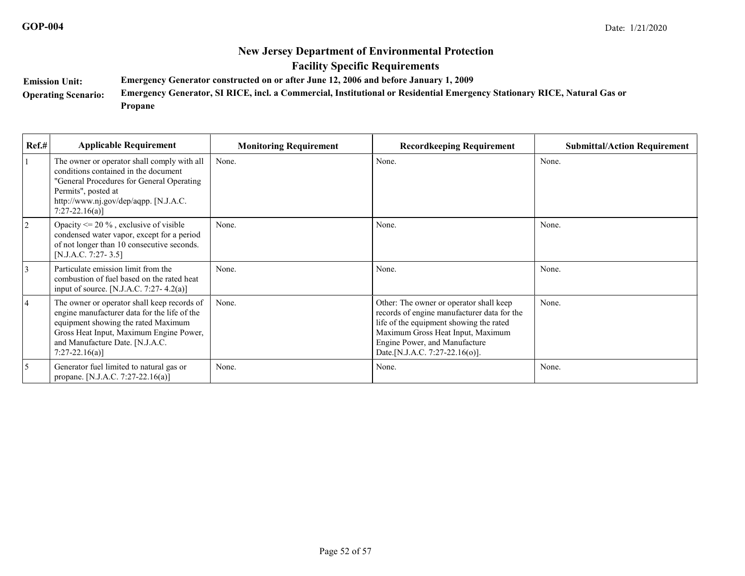# **New Jersey Department of Environmental Protection**

**Facility Specific Requirements**

**Emission Unit:Emergency Generator constructed on or after June 12, 2006 and before January 1, 2009**

**Operating Scenario:Emergency Generator, SI RICE, incl. a Commercial, Institutional or Residential Emergency Stationary RICE, Natural Gas or**

**Propane**

| Ref.#          | <b>Applicable Requirement</b>                                                                                                                                                                                                       | <b>Monitoring Requirement</b> | <b>Recordkeeping Requirement</b>                                                                                                                                                                                                          | <b>Submittal/Action Requirement</b> |
|----------------|-------------------------------------------------------------------------------------------------------------------------------------------------------------------------------------------------------------------------------------|-------------------------------|-------------------------------------------------------------------------------------------------------------------------------------------------------------------------------------------------------------------------------------------|-------------------------------------|
|                | The owner or operator shall comply with all<br>conditions contained in the document<br>"General Procedures for General Operating<br>Permits", posted at<br>http://www.nj.gov/dep/aqpp. [N.J.A.C.<br>$7:27-22.16(a)$                 | None.                         | None.                                                                                                                                                                                                                                     | None.                               |
| $\overline{2}$ | Opacity $\leq$ 20 %, exclusive of visible<br>condensed water vapor, except for a period<br>of not longer than 10 consecutive seconds.<br>$[N.J.A.C. 7:27-3.5]$                                                                      | None.                         | None.                                                                                                                                                                                                                                     | None.                               |
| $\overline{3}$ | Particulate emission limit from the<br>combustion of fuel based on the rated heat<br>input of source. [N.J.A.C. 7:27-4.2(a)]                                                                                                        | None.                         | None.                                                                                                                                                                                                                                     | None.                               |
| 4              | The owner or operator shall keep records of<br>engine manufacturer data for the life of the<br>equipment showing the rated Maximum<br>Gross Heat Input, Maximum Engine Power,<br>and Manufacture Date. [N.J.A.C.<br>$7:27-22.16(a)$ | None.                         | Other: The owner or operator shall keep<br>records of engine manufacturer data for the<br>life of the equipment showing the rated<br>Maximum Gross Heat Input, Maximum<br>Engine Power, and Manufacture<br>Date.[N.J.A.C. 7:27-22.16(o)]. | None.                               |
| 5              | Generator fuel limited to natural gas or<br>propane. [N.J.A.C. 7:27-22.16(a)]                                                                                                                                                       | None.                         | None.                                                                                                                                                                                                                                     | None.                               |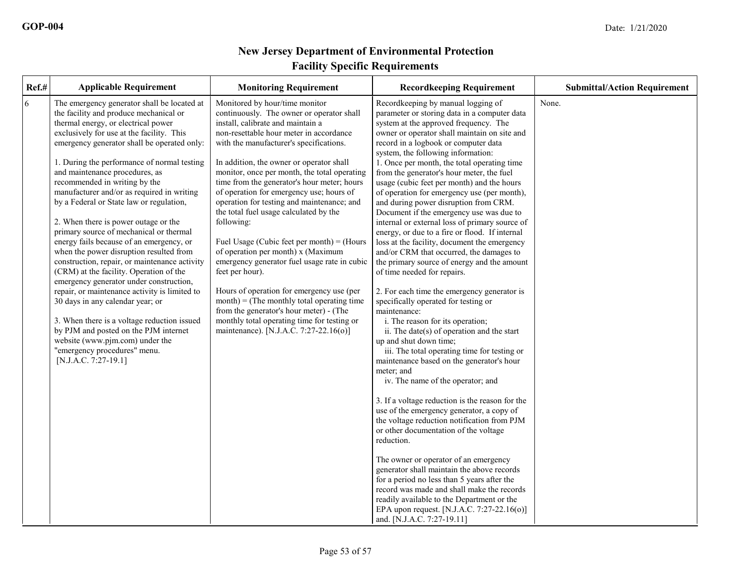| Ref.#          | <b>Applicable Requirement</b>                                                                                                                                                                                                                                                                                                                                                                                                                                                                                                                                                                                                                                                                                                                                                                                                                                                                                                                                                                                                 | <b>Monitoring Requirement</b>                                                                                                                                                                                                                                                                                                                                                                                                                                                                                                                                                                                                                                                                                                                                                                                                                                                                   | <b>Recordkeeping Requirement</b>                                                                                                                                                                                                                                                                                                                                                                                                                                                                                                                                                                                                                                                                                                                                                                                                                                                                                                                                                                                                                                                                                                                                                                                                                                                                                                                                                                                                                                                                                                                                                                                                                                                                             | <b>Submittal/Action Requirement</b> |
|----------------|-------------------------------------------------------------------------------------------------------------------------------------------------------------------------------------------------------------------------------------------------------------------------------------------------------------------------------------------------------------------------------------------------------------------------------------------------------------------------------------------------------------------------------------------------------------------------------------------------------------------------------------------------------------------------------------------------------------------------------------------------------------------------------------------------------------------------------------------------------------------------------------------------------------------------------------------------------------------------------------------------------------------------------|-------------------------------------------------------------------------------------------------------------------------------------------------------------------------------------------------------------------------------------------------------------------------------------------------------------------------------------------------------------------------------------------------------------------------------------------------------------------------------------------------------------------------------------------------------------------------------------------------------------------------------------------------------------------------------------------------------------------------------------------------------------------------------------------------------------------------------------------------------------------------------------------------|--------------------------------------------------------------------------------------------------------------------------------------------------------------------------------------------------------------------------------------------------------------------------------------------------------------------------------------------------------------------------------------------------------------------------------------------------------------------------------------------------------------------------------------------------------------------------------------------------------------------------------------------------------------------------------------------------------------------------------------------------------------------------------------------------------------------------------------------------------------------------------------------------------------------------------------------------------------------------------------------------------------------------------------------------------------------------------------------------------------------------------------------------------------------------------------------------------------------------------------------------------------------------------------------------------------------------------------------------------------------------------------------------------------------------------------------------------------------------------------------------------------------------------------------------------------------------------------------------------------------------------------------------------------------------------------------------------------|-------------------------------------|
| $\overline{6}$ | The emergency generator shall be located at<br>the facility and produce mechanical or<br>thermal energy, or electrical power<br>exclusively for use at the facility. This<br>emergency generator shall be operated only:<br>1. During the performance of normal testing<br>and maintenance procedures, as<br>recommended in writing by the<br>manufacturer and/or as required in writing<br>by a Federal or State law or regulation,<br>2. When there is power outage or the<br>primary source of mechanical or thermal<br>energy fails because of an emergency, or<br>when the power disruption resulted from<br>construction, repair, or maintenance activity<br>(CRM) at the facility. Operation of the<br>emergency generator under construction,<br>repair, or maintenance activity is limited to<br>30 days in any calendar year; or<br>3. When there is a voltage reduction issued<br>by PJM and posted on the PJM internet<br>website (www.pjm.com) under the<br>"emergency procedures" menu.<br>[N.J.A.C. 7:27-19.1] | Monitored by hour/time monitor<br>continuously. The owner or operator shall<br>install, calibrate and maintain a<br>non-resettable hour meter in accordance<br>with the manufacturer's specifications.<br>In addition, the owner or operator shall<br>monitor, once per month, the total operating<br>time from the generator's hour meter; hours<br>of operation for emergency use; hours of<br>operation for testing and maintenance; and<br>the total fuel usage calculated by the<br>following:<br>Fuel Usage (Cubic feet per month) = $(Hours)$<br>of operation per month) x (Maximum<br>emergency generator fuel usage rate in cubic<br>feet per hour).<br>Hours of operation for emergency use (per<br>$month$ ) = (The monthly total operating time<br>from the generator's hour meter) - (The<br>monthly total operating time for testing or<br>maintenance). [N.J.A.C. 7:27-22.16(o)] | Recordkeeping by manual logging of<br>parameter or storing data in a computer data<br>system at the approved frequency. The<br>owner or operator shall maintain on site and<br>record in a logbook or computer data<br>system, the following information:<br>1. Once per month, the total operating time<br>from the generator's hour meter, the fuel<br>usage (cubic feet per month) and the hours<br>of operation for emergency use (per month),<br>and during power disruption from CRM.<br>Document if the emergency use was due to<br>internal or external loss of primary source of<br>energy, or due to a fire or flood. If internal<br>loss at the facility, document the emergency<br>and/or CRM that occurred, the damages to<br>the primary source of energy and the amount<br>of time needed for repairs.<br>2. For each time the emergency generator is<br>specifically operated for testing or<br>maintenance:<br>i. The reason for its operation;<br>ii. The date(s) of operation and the start<br>up and shut down time;<br>iii. The total operating time for testing or<br>maintenance based on the generator's hour<br>meter; and<br>iv. The name of the operator; and<br>3. If a voltage reduction is the reason for the<br>use of the emergency generator, a copy of<br>the voltage reduction notification from PJM<br>or other documentation of the voltage<br>reduction.<br>The owner or operator of an emergency<br>generator shall maintain the above records<br>for a period no less than 5 years after the<br>record was made and shall make the records<br>readily available to the Department or the<br>EPA upon request. [N.J.A.C. 7:27-22.16(o)]<br>and. [N.J.A.C. 7:27-19.11] | None.                               |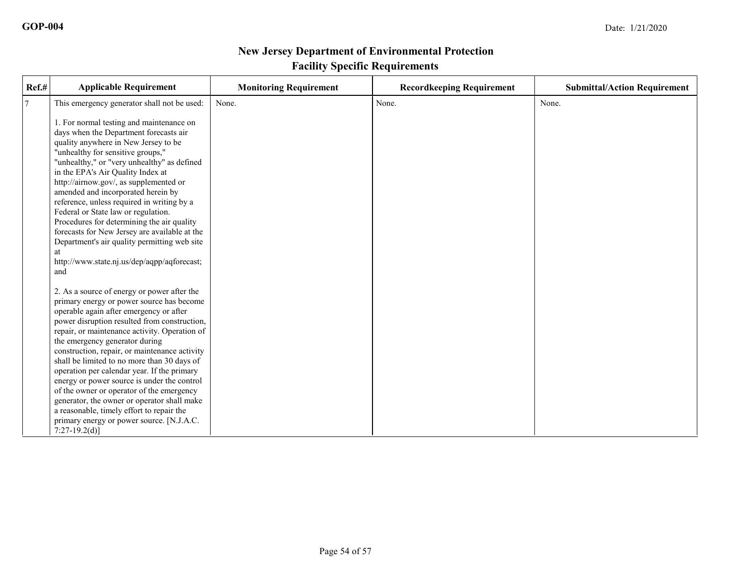| $Ref.$ # | <b>Applicable Requirement</b>                                                                                                                                                                                                                                                                                                                                                                                                                                                                                                                                                                                                                                                 | <b>Monitoring Requirement</b> | <b>Recordkeeping Requirement</b> | <b>Submittal/Action Requirement</b> |
|----------|-------------------------------------------------------------------------------------------------------------------------------------------------------------------------------------------------------------------------------------------------------------------------------------------------------------------------------------------------------------------------------------------------------------------------------------------------------------------------------------------------------------------------------------------------------------------------------------------------------------------------------------------------------------------------------|-------------------------------|----------------------------------|-------------------------------------|
| 7        | This emergency generator shall not be used:                                                                                                                                                                                                                                                                                                                                                                                                                                                                                                                                                                                                                                   | None.                         | None.                            | None.                               |
|          | 1. For normal testing and maintenance on<br>days when the Department forecasts air<br>quality anywhere in New Jersey to be<br>"unhealthy for sensitive groups,"<br>"unhealthy," or "very unhealthy" as defined<br>in the EPA's Air Quality Index at<br>http://airnow.gov/, as supplemented or<br>amended and incorporated herein by<br>reference, unless required in writing by a<br>Federal or State law or regulation.<br>Procedures for determining the air quality<br>forecasts for New Jersey are available at the<br>Department's air quality permitting web site<br>at<br>http://www.state.nj.us/dep/aqpp/aqforecast;<br>and                                           |                               |                                  |                                     |
|          | 2. As a source of energy or power after the<br>primary energy or power source has become<br>operable again after emergency or after<br>power disruption resulted from construction,<br>repair, or maintenance activity. Operation of<br>the emergency generator during<br>construction, repair, or maintenance activity<br>shall be limited to no more than 30 days of<br>operation per calendar year. If the primary<br>energy or power source is under the control<br>of the owner or operator of the emergency<br>generator, the owner or operator shall make<br>a reasonable, timely effort to repair the<br>primary energy or power source. [N.J.A.C.]<br>$7:27-19.2(d)$ |                               |                                  |                                     |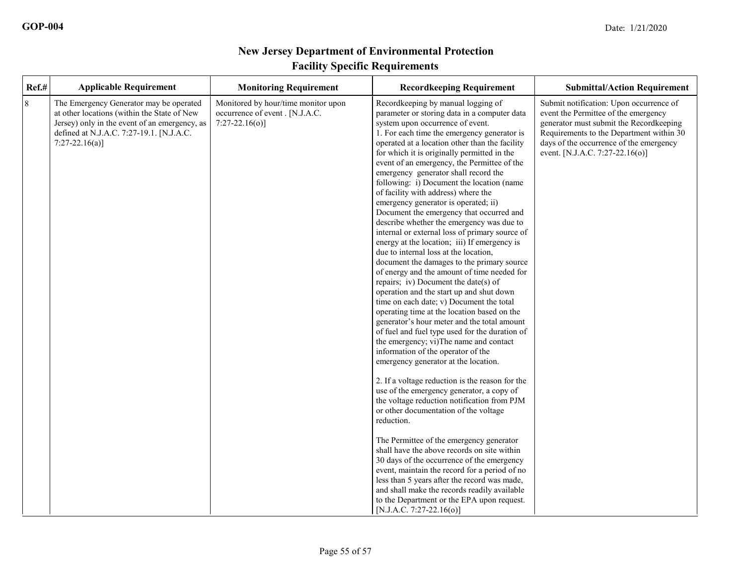| Ref.#   | <b>Applicable Requirement</b>                                                                                                                                                                            | <b>Monitoring Requirement</b>                                                               | <b>Recordkeeping Requirement</b>                                                                                                                                                                                                                                                                                                                                                                                                                                                                                                                                                                                                                                                                                                                                                                                                                                                                                                                                                                                                                                                                                                                                                                                                                                                                                                                                                                                                                                                                                                                                                                                                                                                                                                                                                                               | <b>Submittal/Action Requirement</b>                                                                                                                                                                                                                  |
|---------|----------------------------------------------------------------------------------------------------------------------------------------------------------------------------------------------------------|---------------------------------------------------------------------------------------------|----------------------------------------------------------------------------------------------------------------------------------------------------------------------------------------------------------------------------------------------------------------------------------------------------------------------------------------------------------------------------------------------------------------------------------------------------------------------------------------------------------------------------------------------------------------------------------------------------------------------------------------------------------------------------------------------------------------------------------------------------------------------------------------------------------------------------------------------------------------------------------------------------------------------------------------------------------------------------------------------------------------------------------------------------------------------------------------------------------------------------------------------------------------------------------------------------------------------------------------------------------------------------------------------------------------------------------------------------------------------------------------------------------------------------------------------------------------------------------------------------------------------------------------------------------------------------------------------------------------------------------------------------------------------------------------------------------------------------------------------------------------------------------------------------------------|------------------------------------------------------------------------------------------------------------------------------------------------------------------------------------------------------------------------------------------------------|
| $\,8\,$ | The Emergency Generator may be operated<br>at other locations (within the State of New<br>Jersey) only in the event of an emergency, as<br>defined at N.J.A.C. 7:27-19.1. [N.J.A.C.<br>$7:27-22.16(a)$ ] | Monitored by hour/time monitor upon<br>occurrence of event . [N.J.A.C.<br>$7:27-22.16(o)$ ] | Recordkeeping by manual logging of<br>parameter or storing data in a computer data<br>system upon occurrence of event.<br>1. For each time the emergency generator is<br>operated at a location other than the facility<br>for which it is originally permitted in the<br>event of an emergency, the Permittee of the<br>emergency generator shall record the<br>following: i) Document the location (name<br>of facility with address) where the<br>emergency generator is operated; ii)<br>Document the emergency that occurred and<br>describe whether the emergency was due to<br>internal or external loss of primary source of<br>energy at the location; iii) If emergency is<br>due to internal loss at the location,<br>document the damages to the primary source<br>of energy and the amount of time needed for<br>repairs; iv) Document the date(s) of<br>operation and the start up and shut down<br>time on each date; v) Document the total<br>operating time at the location based on the<br>generator's hour meter and the total amount<br>of fuel and fuel type used for the duration of<br>the emergency; vi)The name and contact<br>information of the operator of the<br>emergency generator at the location.<br>2. If a voltage reduction is the reason for the<br>use of the emergency generator, a copy of<br>the voltage reduction notification from PJM<br>or other documentation of the voltage<br>reduction.<br>The Permittee of the emergency generator<br>shall have the above records on site within<br>30 days of the occurrence of the emergency<br>event, maintain the record for a period of no<br>less than 5 years after the record was made,<br>and shall make the records readily available<br>to the Department or the EPA upon request.<br>$[N.J.A.C. 7:27-22.16(o)]$ | Submit notification: Upon occurrence of<br>event the Permittee of the emergency<br>generator must submit the Recordkeeping<br>Requirements to the Department within 30<br>days of the occurrence of the emergency<br>event. [N.J.A.C. 7:27-22.16(o)] |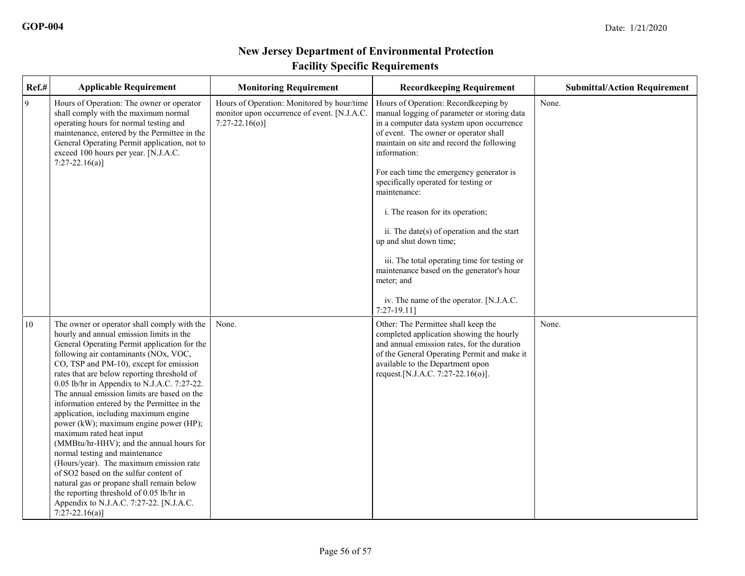| Ref.# | <b>Applicable Requirement</b>                                                                                                                                                                                                                                                                                                                                                                                                                                                                                                                                                                                                                                                                                                                                                                                                                                     | <b>Monitoring Requirement</b>                                                                                  | <b>Recordkeeping Requirement</b>                                                                                                                                                                                                                                                                                                                                                                                                                                                                                                                                                                                                | <b>Submittal/Action Requirement</b> |
|-------|-------------------------------------------------------------------------------------------------------------------------------------------------------------------------------------------------------------------------------------------------------------------------------------------------------------------------------------------------------------------------------------------------------------------------------------------------------------------------------------------------------------------------------------------------------------------------------------------------------------------------------------------------------------------------------------------------------------------------------------------------------------------------------------------------------------------------------------------------------------------|----------------------------------------------------------------------------------------------------------------|---------------------------------------------------------------------------------------------------------------------------------------------------------------------------------------------------------------------------------------------------------------------------------------------------------------------------------------------------------------------------------------------------------------------------------------------------------------------------------------------------------------------------------------------------------------------------------------------------------------------------------|-------------------------------------|
| 9     | Hours of Operation: The owner or operator<br>shall comply with the maximum normal<br>operating hours for normal testing and<br>maintenance, entered by the Permittee in the<br>General Operating Permit application, not to<br>exceed 100 hours per year. [N.J.A.C.<br>$7:27-22.16(a)$ ]                                                                                                                                                                                                                                                                                                                                                                                                                                                                                                                                                                          | Hours of Operation: Monitored by hour/time<br>monitor upon occurrence of event. [N.J.A.C.<br>$7:27-22.16(o)$ ] | Hours of Operation: Recordkeeping by<br>manual logging of parameter or storing data<br>in a computer data system upon occurrence<br>of event. The owner or operator shall<br>maintain on site and record the following<br>information:<br>For each time the emergency generator is<br>specifically operated for testing or<br>maintenance:<br>i. The reason for its operation;<br>ii. The date(s) of operation and the start<br>up and shut down time;<br>iii. The total operating time for testing or<br>maintenance based on the generator's hour<br>meter; and<br>iv. The name of the operator. [N.J.A.C.]<br>$7:27-19.11$ ] | None.                               |
| 10    | The owner or operator shall comply with the<br>hourly and annual emission limits in the<br>General Operating Permit application for the<br>following air contaminants (NOx, VOC,<br>CO, TSP and PM-10), except for emission<br>rates that are below reporting threshold of<br>0.05 lb/hr in Appendix to N.J.A.C. 7:27-22.<br>The annual emission limits are based on the<br>information entered by the Permittee in the<br>application, including maximum engine<br>power (kW); maximum engine power (HP);<br>maximum rated heat input<br>(MMBtu/hr-HHV); and the annual hours for<br>normal testing and maintenance<br>(Hours/year). The maximum emission rate<br>of SO2 based on the sulfur content of<br>natural gas or propane shall remain below<br>the reporting threshold of 0.05 lb/hr in<br>Appendix to N.J.A.C. 7:27-22. [N.J.A.C.<br>$7:27-22.16(a)$ ] | None.                                                                                                          | Other: The Permittee shall keep the<br>completed application showing the hourly<br>and annual emission rates, for the duration<br>of the General Operating Permit and make it<br>available to the Department upon<br>request. [N.J.A.C. 7:27-22.16(o)].                                                                                                                                                                                                                                                                                                                                                                         | None.                               |